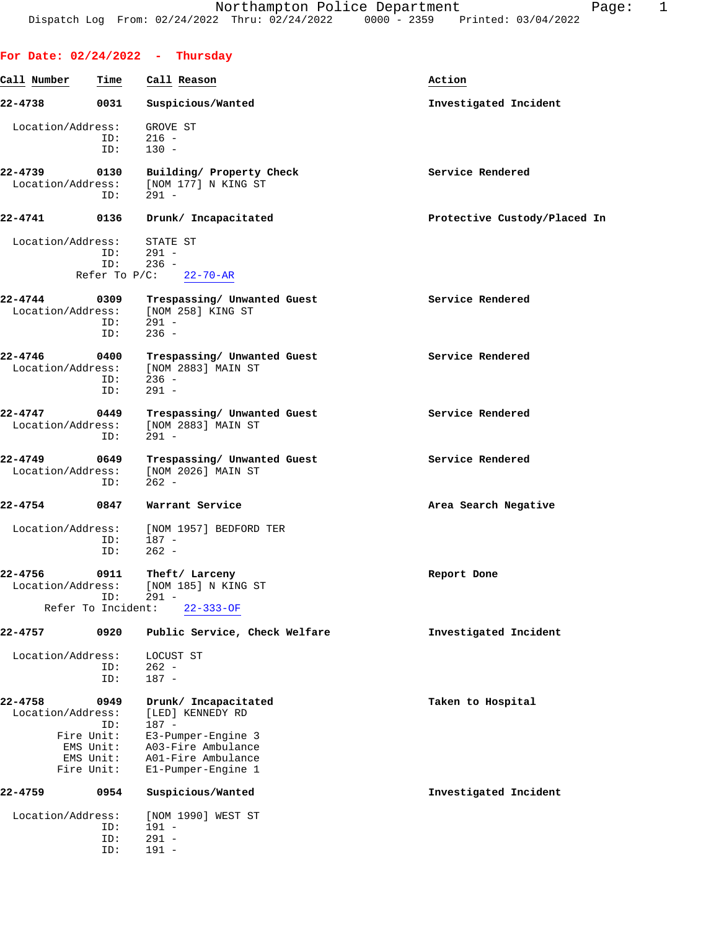**For Date: 02/24/2022 - Thursday**

| Call Number       | Time               | Call Reason                    | Action                       |
|-------------------|--------------------|--------------------------------|------------------------------|
| 22-4738           | 0031               | Suspicious/Wanted              | Investigated Incident        |
| Location/Address: |                    | GROVE ST                       |                              |
|                   | ID:                | $216 -$                        |                              |
|                   | ID:                | $130 -$                        |                              |
| 22-4739           | 0130               | Building/ Property Check       | Service Rendered             |
| Location/Address: | ID:                | [NOM 177] N KING ST<br>$291 -$ |                              |
|                   |                    |                                |                              |
| $22 - 4741$       | 0136               | Drunk/ Incapacitated           | Protective Custody/Placed In |
| Location/Address: |                    | STATE ST                       |                              |
|                   | ID:<br>ID:         | $291 -$<br>$236 -$             |                              |
|                   | Refer To $P/C$ :   | $22 - 70 - AR$                 |                              |
| 22-4744           | 0309               | Trespassing/ Unwanted Guest    | Service Rendered             |
| Location/Address: |                    | [NOM 258] KING ST              |                              |
|                   | ID:                | $291 -$                        |                              |
|                   | ID:                | $236 -$                        |                              |
| $22 - 4746$       | 0400               | Trespassing/ Unwanted Guest    | Service Rendered             |
| Location/Address: | ID:                | [NOM 2883] MAIN ST<br>$236 -$  |                              |
|                   | ID:                | $291 -$                        |                              |
| 22-4747           | 0449               | Trespassing/ Unwanted Guest    | Service Rendered             |
| Location/Address: |                    | [NOM 2883] MAIN ST             |                              |
|                   | ID:                | $291 -$                        |                              |
| 22-4749           | 0649               | Trespassing/ Unwanted Guest    | Service Rendered             |
| Location/Address: |                    | [NOM 2026] MAIN ST             |                              |
|                   | ID:                | $262 -$                        |                              |
| $22 - 4754$       | 0847               | Warrant Service                | Area Search Negative         |
| Location/Address: |                    | [NOM 1957] BEDFORD TER         |                              |
|                   | ID:                | 187 -                          |                              |
|                   | ID:                | $262 -$                        |                              |
| 22-4756           | 0911               | Theft/ Larceny                 | Report Done                  |
| Location/Address: | ID:                | [NOM 185] N KING ST<br>$291 -$ |                              |
|                   | Refer To Incident: | $22 - 333 - OF$                |                              |
| 22-4757           | 0920               | Public Service, Check Welfare  | Investigated Incident        |
|                   |                    |                                |                              |
| Location/Address: | ID:                | LOCUST ST<br>$262 -$           |                              |
|                   | ID:                | $187 -$                        |                              |
| 22-4758           | 0949               | Drunk/ Incapacitated           | Taken to Hospital            |
| Location/Address: |                    | [LED] KENNEDY RD               |                              |
|                   | ID:<br>Fire Unit:  | $187 -$<br>E3-Pumper-Engine 3  |                              |
|                   | EMS Unit:          | A03-Fire Ambulance             |                              |
|                   | EMS Unit:          | A01-Fire Ambulance             |                              |
|                   | Fire Unit:         | E1-Pumper-Engine 1             |                              |
| 22-4759           | 0954               | Suspicious/Wanted              | Investigated Incident        |
| Location/Address: |                    | [NOM 1990] WEST ST             |                              |
|                   | ID:                | $191 -$                        |                              |
|                   | ID:<br>ID:         | $291 -$<br>$191 -$             |                              |
|                   |                    |                                |                              |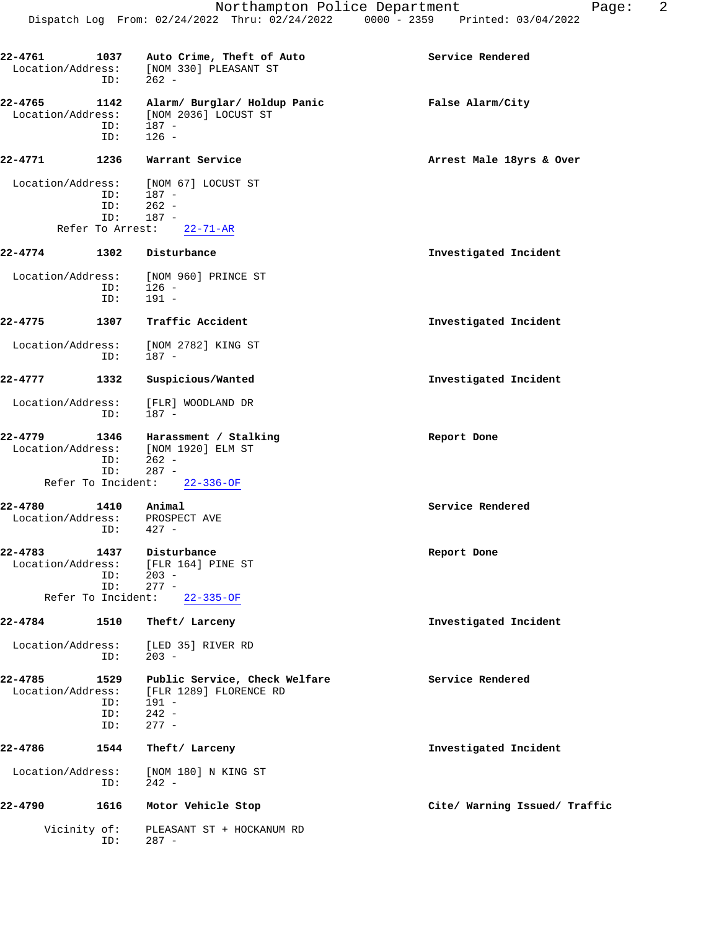| 22-4761<br>Location/Address:     | 1037<br>ID:                              | Auto Crime, Theft of Auto<br>[NOM 330] PLEASANT ST<br>$262 -$                                    | Service Rendered              |
|----------------------------------|------------------------------------------|--------------------------------------------------------------------------------------------------|-------------------------------|
| 22-4765<br>Location/Address:     | 1142<br>ID:<br>ID:                       | Alarm/ Burglar/ Holdup Panic<br>[NOM 2036] LOCUST ST<br>$187 -$<br>$126 -$                       | False Alarm/City              |
| 22-4771                          | 1236                                     | Warrant Service                                                                                  | Arrest Male 18yrs & Over      |
| Location/Address:                |                                          | [NOM 67] LOCUST ST                                                                               |                               |
|                                  | ID:<br>ID:                               | 187 -<br>$262 -$                                                                                 |                               |
|                                  | ID:                                      | $187 -$                                                                                          |                               |
|                                  | Refer To Arrest:                         | $22 - 71 - AR$                                                                                   |                               |
| $22 - 4774$                      | 1302                                     | Disturbance                                                                                      | Investigated Incident         |
| Location/Address:                | ID:<br>ID:                               | [NOM 960] PRINCE ST<br>$126 -$<br>$191 -$                                                        |                               |
| 22-4775                          | 1307                                     | Traffic Accident                                                                                 | Investigated Incident         |
| Location/Address:                |                                          | [NOM 2782] KING ST                                                                               |                               |
|                                  | ID:                                      | $187 -$                                                                                          |                               |
| 22-4777                          | 1332                                     | Suspicious/Wanted                                                                                | Investigated Incident         |
| Location/Address:                | ID:                                      | [FLR] WOODLAND DR<br>187 -                                                                       |                               |
| 22-4779<br>Location/Address:     | 1346<br>ID:<br>ID:                       | Harassment / Stalking<br>[NOM 1920] ELM ST<br>$262 -$<br>$287 -$<br>Refer To Incident: 22-336-OF | Report Done                   |
| 22-4780<br>Location/Address:     | 1410<br>ID:                              | Animal<br>PROSPECT AVE<br>$427 -$                                                                | Service Rendered              |
| $22 - 4783$<br>Location/Address: | 1437<br>ID:<br>ID:<br>Refer To Incident: | Disturbance<br>[FLR 164] PINE ST<br>$203 -$<br>$277 -$<br>$22 - 335 - OF$                        | Report Done                   |
| $22 - 4784$                      | 1510                                     | Theft/ Larceny                                                                                   | Investigated Incident         |
| Location/Address:                | ID:                                      | [LED 35] RIVER RD<br>$203 -$                                                                     |                               |
| 22-4785<br>Location/Address:     | 1529<br>ID:<br>ID:<br>ID:                | Public Service, Check Welfare<br>[FLR 1289] FLORENCE RD<br>191 -<br>$242 -$<br>$277 -$           | Service Rendered              |
| 22-4786                          | 1544                                     | Theft/ Larceny                                                                                   | Investigated Incident         |
| Location/Address:                | ID:                                      | [NOM 180] N KING ST<br>$242 -$                                                                   |                               |
| 22-4790                          | 1616                                     | Motor Vehicle Stop                                                                               | Cite/ Warning Issued/ Traffic |
| Vicinity of:                     | ID:                                      | PLEASANT ST + HOCKANUM RD<br>$287 -$                                                             |                               |
|                                  |                                          |                                                                                                  |                               |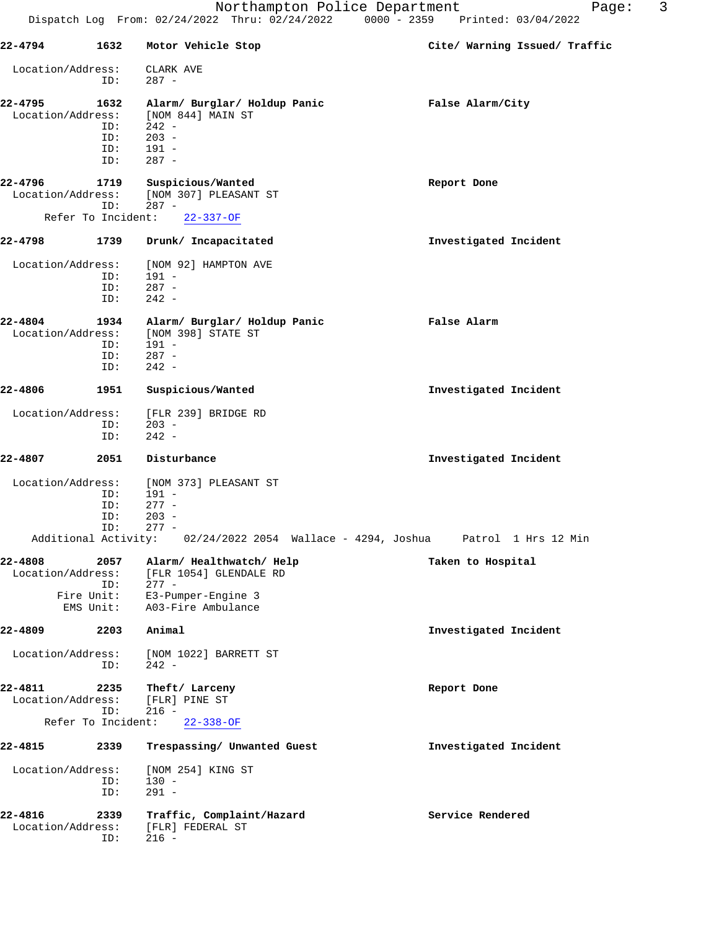| 22-4794                      |                    | 1632 Motor Vehicle Stop                       | Cite/ Warning Issued/ Traffic                                                   |
|------------------------------|--------------------|-----------------------------------------------|---------------------------------------------------------------------------------|
| Location/Address:            |                    | CLARK AVE                                     |                                                                                 |
|                              | ID:                | $287 -$                                       |                                                                                 |
| 22-4795                      | 1632               | Alarm/ Burglar/ Holdup Panic                  | False Alarm/City                                                                |
| Location/Address:            |                    | [NOM 844] MAIN ST                             |                                                                                 |
|                              | ID:                | 242 -<br>$203 -$                              |                                                                                 |
|                              | ID:<br>ID:         | $191 -$                                       |                                                                                 |
|                              | ID:                | 287 -                                         |                                                                                 |
| 22-4796                      |                    | 1719 Suspicious/Wanted                        | Report Done                                                                     |
|                              |                    | Location/Address: [NOM 307] PLEASANT ST       |                                                                                 |
|                              | ID:                | $287 -$                                       |                                                                                 |
|                              |                    | Refer To Incident: 22-337-OF                  |                                                                                 |
| 22-4798                      |                    | 1739 Drunk/ Incapacitated                     | Investigated Incident                                                           |
| Location/Address:            |                    | [NOM 92] HAMPTON AVE                          |                                                                                 |
|                              | ID:                | 191 -                                         |                                                                                 |
|                              | ID:                | $287 -$                                       |                                                                                 |
|                              | ID:                | $242 -$                                       |                                                                                 |
| 22-4804                      | 1934               | Alarm/ Burglar/ Holdup Panic                  | False Alarm                                                                     |
| Location/Address:            |                    | [NOM 398] STATE ST                            |                                                                                 |
|                              | ID:                | $191 -$                                       |                                                                                 |
|                              | ID:                | $287 -$                                       |                                                                                 |
|                              | ID:                | $242 -$                                       |                                                                                 |
| 22-4806                      | 1951               | Suspicious/Wanted                             | Investigated Incident                                                           |
| Location/Address:            |                    | [FLR 239] BRIDGE RD                           |                                                                                 |
|                              | ID:                | $203 -$                                       |                                                                                 |
|                              | ID:                | $242 -$                                       |                                                                                 |
| 22-4807                      | 2051               | Disturbance                                   | Investigated Incident                                                           |
|                              |                    |                                               |                                                                                 |
| Location/Address:            |                    | [NOM 373] PLEASANT ST<br>$191 -$              |                                                                                 |
|                              | ID:                |                                               |                                                                                 |
|                              | ID:                | $277 -$<br>$203 -$                            |                                                                                 |
|                              | ID:<br>ID:         | $277 -$                                       |                                                                                 |
|                              |                    |                                               | Additional Activity: 02/24/2022 2054 Wallace - 4294, Joshua Patrol 1 Hrs 12 Min |
|                              |                    | 22-4808 2057 Alarm/ Healthwatch/ Help         | Taken to Hospital                                                               |
| Location/Address:            |                    | [FLR 1054] GLENDALE RD                        |                                                                                 |
|                              | ID:                | $277 -$                                       |                                                                                 |
|                              | Fire Unit:         | E3-Pumper-Engine 3                            |                                                                                 |
|                              | EMS Unit:          | A03-Fire Ambulance                            |                                                                                 |
| 22-4809                      | 2203               | Animal                                        | Investigated Incident                                                           |
| Location/Address:            | ID:                | [NOM 1022] BARRETT ST<br>$242 -$              |                                                                                 |
|                              |                    |                                               |                                                                                 |
| 22-4811                      | 2235               | Theft/ Larceny                                | Report Done                                                                     |
| Location/Address:            | ID:                | [FLR] PINE ST<br>$216 -$                      |                                                                                 |
|                              | Refer To Incident: | $22 - 338 - OF$                               |                                                                                 |
| 22-4815                      | 2339               | Trespassing/ Unwanted Guest                   | Investigated Incident                                                           |
| Location/Address:            |                    | [NOM 254] KING ST                             |                                                                                 |
|                              | ID:                | $130 -$                                       |                                                                                 |
|                              | ID:                | $291 -$                                       |                                                                                 |
|                              |                    |                                               |                                                                                 |
| 22-4816<br>Location/Address: | 2339               | Traffic, Complaint/Hazard<br>[FLR] FEDERAL ST | Service Rendered                                                                |
|                              | ID:                | $216 -$                                       |                                                                                 |
|                              |                    |                                               |                                                                                 |